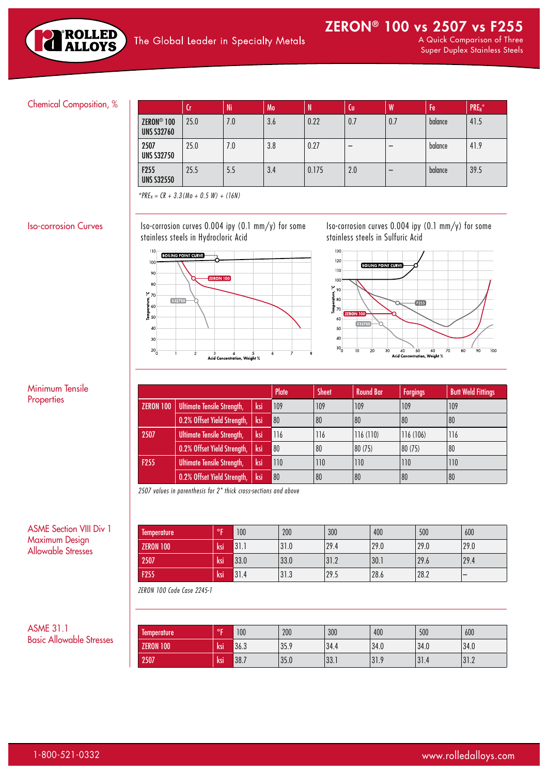

## Chemical Composition, %

|                                             | 'Cī  | Ni  | Mo  | N     | Cu  | W   | Fe      | PRE <sub>N</sub> |
|---------------------------------------------|------|-----|-----|-------|-----|-----|---------|------------------|
| ZERON <sup>®</sup> 100<br><b>UNS S32760</b> | 25.0 | 7.0 | 3.6 | 0.22  | 0.7 | 0.7 | balance | 41.5             |
| 2507<br><b>UNS S32750</b>                   | 25.0 | 7.0 | 3.8 | 0.27  | -   |     | balance | 41.9             |
| F <sub>255</sub><br><b>UNS S32550</b>       | 25.5 | 5.5 | 3.4 | 0.175 | 2.0 |     | balance | 39.5             |

*\*PREN = CR + 3.3(Mo + 0.5 W) + (16N)*

 $\vert$  Iso-corrosion Curves  $\vert$  Iso-corrosion curves 0.004 ipy (0.1 mm/y) for some stainless steels in Hydrocloric Acid



*2507 values in parenthesis for 2" thick cross-sections and above*

Iso-corrosion curves 0.004 ipy (0.1 mm/y) for some stainless steels in Sulfuric Acid



Plate Sheet Round Bar Forgings Butt Weld Fittings

| Minimum Tensile |  |
|-----------------|--|
| Properties      |  |

ASME Section VIII Div 1 Maximum Design Allowable Stresses

| lemperature      | $\circ$ | 100  | 200  | 300  | 400  | 500  | 600  |
|------------------|---------|------|------|------|------|------|------|
| <b>ZERON 100</b> | ksi     | 31.1 | 31.0 | 29.4 | 29.0 | 29.0 | 29.0 |
| 2507             | 'ksi    | 33.0 | 33.0 | 31.2 | 30.1 | 29.6 | 29.4 |
| F <sub>255</sub> | ksi     | 31.4 | 31.3 | 29.5 | 28.6 | 28.2 |      |

ZERON 100 | Ultimate Tensile Strength, | ksi | 109 | 109 | 109 | 109 | 109 | 109 | 109

2507 | Ultimate Tensile Strength, | ksi | 116 | 116 | 116 | 116 | 116 | 116 | 106 | 116 | 116 | 116 | 116 | 1

F255 Ultimate Tensile Strength, ksi 110 110 110 110 110

0.2% Offset Yield Strength, ksi 80 80 80 80 80 80 80 80 80

0.2% Offset Yield Strength, ksi 80 80 80 80 80 (75) 80 80 80

0.2% Offset Yield Strength, ksi 80 80 80 80 80 80 80 80

*ZERON 100 Code Case 2245-1*

ASME 31.1 Basic Allowable Stresses

| -<br>lemperature | οp  | 100  | 200  | 300   | 400  | 500  | 600              |
|------------------|-----|------|------|-------|------|------|------------------|
| <b>ZERON 100</b> | ksi | 36.3 | 35.9 | 34.4  | 34.0 | 34.0 | 34.0             |
| 2507             | ksi | 38.7 | 35.0 | 133.1 | 31.9 | 31.4 | ר וג<br>ے. ا G ا |